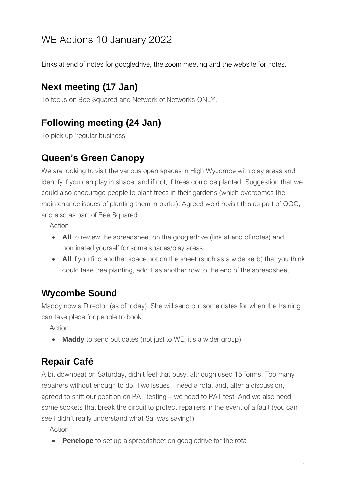# WE Actions 10 January 2022

Links at end of notes for googledrive, the zoom meeting and the website for notes.

#### **Next meeting (17 Jan)**

To focus on Bee Squared and Network of Networks ONLY.

# **Following meeting (24 Jan)**

To pick up 'regular business'

#### **Queen's Green Canopy**

We are looking to visit the various open spaces in High Wycombe with play areas and identify if you can play in shade, and if not, if trees could be planted. Suggestion that we could also encourage people to plant trees in their gardens (which overcomes the maintenance issues of planting them in parks). Agreed we'd revisit this as part of QGC, and also as part of Bee Squared.

Action

- **All** to review the spreadsheet on the googledrive (link at end of notes) and nominated yourself for some spaces/play areas
- **All** if you find another space not on the sheet (such as a wide kerb) that you think could take tree planting, add it as another row to the end of the spreadsheet.

# **Wycombe Sound**

Maddy now a Director (as of today). She will send out some dates for when the training can take place for people to book.

Action

• **Maddy** to send out dates (not just to WE, it's a wider group)

# **Repair Café**

A bit downbeat on Saturday, didn't feel that busy, although used 15 forms. Too many repairers without enough to do. Two issues – need a rota, and, after a discussion, agreed to shift our position on PAT testing – we need to PAT test. And we also need some sockets that break the circuit to protect repairers in the event of a fault (you can see I didn't really understand what Saf was saying!)

Action

• **Penelope** to set up a spreadsheet on googledrive for the rota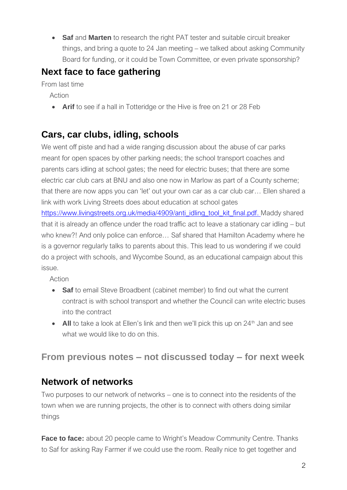• **Saf** and **Marten** to research the right PAT tester and suitable circuit breaker things, and bring a quote to 24 Jan meeting – we talked about asking Community Board for funding, or it could be Town Committee, or even private sponsorship?

# **Next face to face gathering**

From last time

Action

• **Arif** to see if a hall in Totteridge or the Hive is free on 21 or 28 Feb

# **Cars, car clubs, idling, schools**

We went off piste and had a wide ranging discussion about the abuse of car parks meant for open spaces by other parking needs; the school transport coaches and parents cars idling at school gates; the need for electric buses; that there are some electric car club cars at BNU and also one now in Marlow as part of a County scheme; that there are now apps you can 'let' out your own car as a car club car… Ellen shared a link with work Living Streets does about education at school gates

[https://www.livingstreets.org.uk/media/4909/anti\\_idling\\_tool\\_kit\\_final.pdf.](https://www.livingstreets.org.uk/media/4909/anti_idling_tool_kit_final.pdf) Maddy shared that it is already an offence under the road traffic act to leave a stationary car idling – but who knew?! And only police can enforce… Saf shared that Hamilton Academy where he is a governor regularly talks to parents about this. This lead to us wondering if we could do a project with schools, and Wycombe Sound, as an educational campaign about this issue.

Action

- **Saf** to email Steve Broadbent (cabinet member) to find out what the current contract is with school transport and whether the Council can write electric buses into the contract
- **All** to take a look at Ellen's link and then we'll pick this up on 24<sup>th</sup> Jan and see what we would like to do on this.

#### **From previous notes – not discussed today – for next week**

#### **Network of networks**

Two purposes to our network of networks – one is to connect into the residents of the town when we are running projects, the other is to connect with others doing similar things

**Face to face:** about 20 people came to Wright's Meadow Community Centre. Thanks to Saf for asking Ray Farmer if we could use the room. Really nice to get together and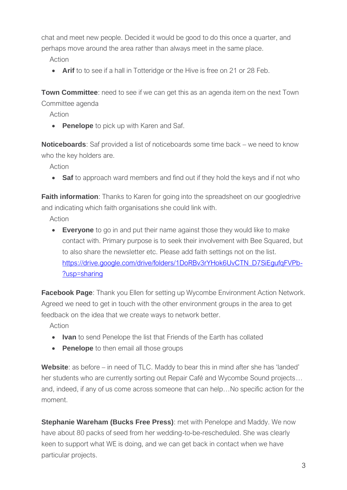chat and meet new people. Decided it would be good to do this once a quarter, and perhaps move around the area rather than always meet in the same place.

Action

• **Arif** to to see if a hall in Totteridge or the Hive is free on 21 or 28 Feb.

**Town Committee**: need to see if we can get this as an agenda item on the next Town Committee agenda

Action

• **Penelope** to pick up with Karen and Saf.

**Noticeboards**: Saf provided a list of noticeboards some time back – we need to know who the key holders are.

Action

• **Saf** to approach ward members and find out if they hold the keys and if not who

**Faith information**: Thanks to Karen for going into the spreadsheet on our googledrive and indicating which faith organisations she could link with.

Action

• **Everyone** to go in and put their name against those they would like to make contact with. Primary purpose is to seek their involvement with Bee Squared, but to also share the newsletter etc. Please add faith settings not on the list. [https://drive.google.com/drive/folders/1DoRBv3rYHok6UvCTN\\_D7SiEgufqFVPb-](https://drive.google.com/drive/folders/1DoRBv3rYHok6UvCTN_D7SiEgufqFVPb-?usp=sharing) [?usp=sharing](https://drive.google.com/drive/folders/1DoRBv3rYHok6UvCTN_D7SiEgufqFVPb-?usp=sharing)

**Facebook Page:** Thank you Ellen for setting up Wycombe Environment Action Network. Agreed we need to get in touch with the other environment groups in the area to get feedback on the idea that we create ways to network better.

Action

- **Ivan** to send Penelope the list that Friends of the Earth has collated
- **Penelope** to then email all those groups

**Website**: as before – in need of TLC. Maddy to bear this in mind after she has 'landed' her students who are currently sorting out Repair Café and Wycombe Sound projects… and, indeed, if any of us come across someone that can help…No specific action for the moment.

**Stephanie Wareham (Bucks Free Press)**: met with Penelope and Maddy. We now have about 80 packs of seed from her wedding-to-be-rescheduled. She was clearly keen to support what WE is doing, and we can get back in contact when we have particular projects.